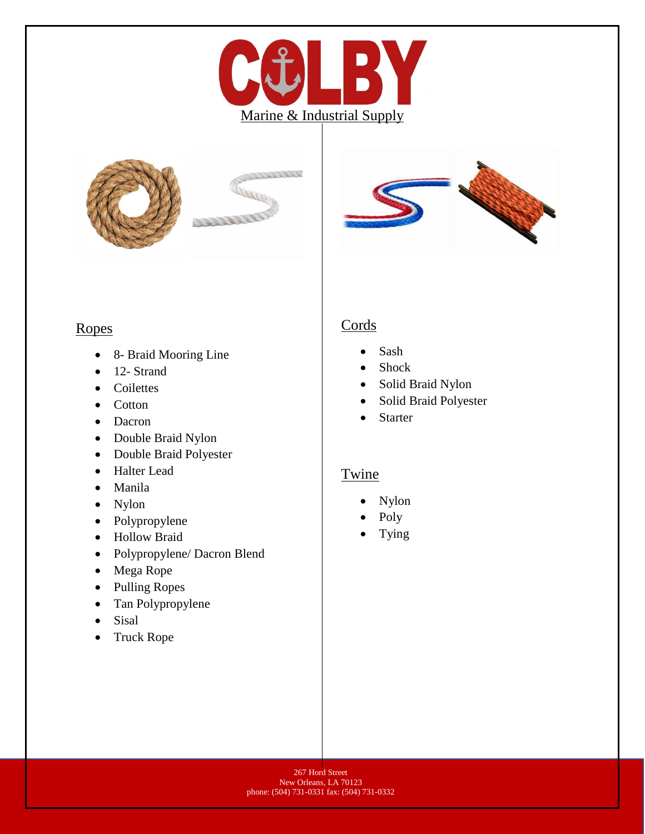





#### Ropes

- 8- Braid Mooring Line
- 12- Strand
- Coilettes
- Cotton
- Dacron
- Double Braid Nylon
- Double Braid Polyester
- Halter Lead
- Manila
- Nylon
- Polypropylene
- Hollow Braid
- Polypropylene/ Dacron Blend
- Mega Rope
- Pulling Ropes
- Tan Polypropylene
- **Sisal**
- Truck Rope

### **Cords**

- Sash
- Shock
- Solid Braid Nylon
- Solid Braid Polyester
- Starter

### **Twine**

- Nylon
- Poly
- Tying

267 Hord Street New Orleans, LA 70123 phone: (504) 731-0331 fax: (504) 731-0332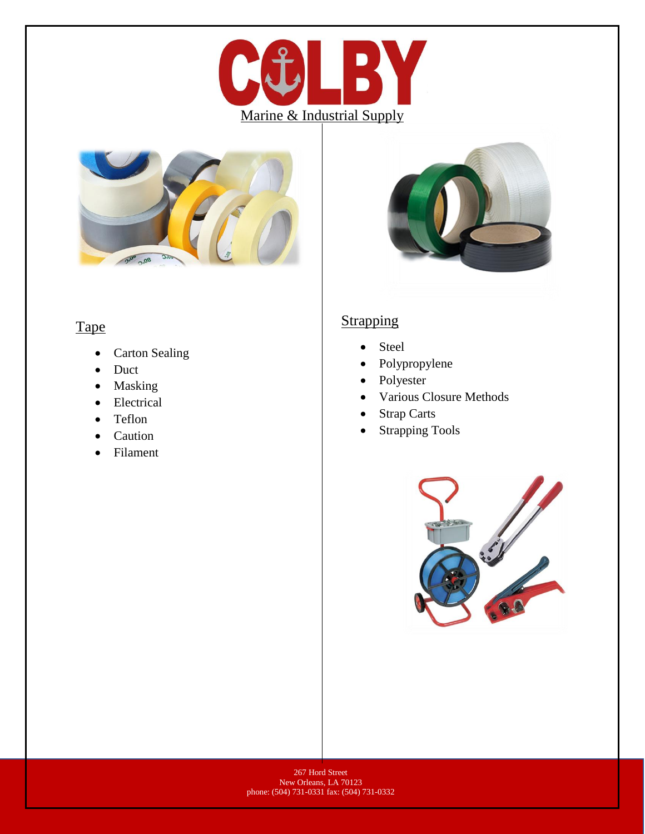



# Tape

- Carton Sealing
- Duct
- Masking
- Electrical
- Teflon
- Caution
- Filament



### **Strapping**

- Steel
- Polypropylene
- Polyester
- Various Closure Methods
- Strap Carts
- Strapping Tools

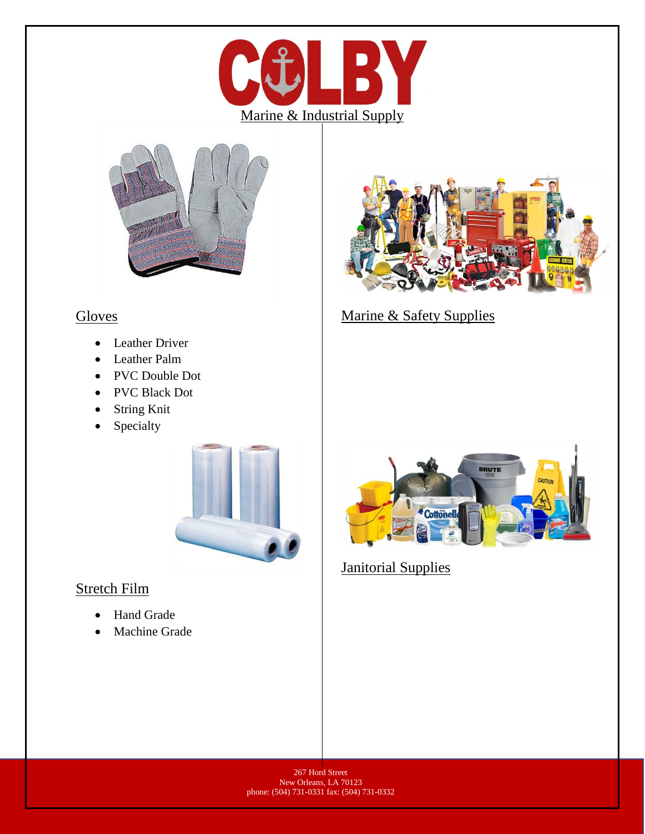



### **Gloves**

- Leather Driver
- Leather Palm
- PVC Double Dot
- PVC Black Dot
- String Knit
- Specialty



## Stretch Film

- Hand Grade
- Machine Grade



Marine & Safety Supplies



**Janitorial Supplies** 

267 Hord Street New Orleans, LA 70123 phone: (504) 731-0331 fax: (504) 731-0332